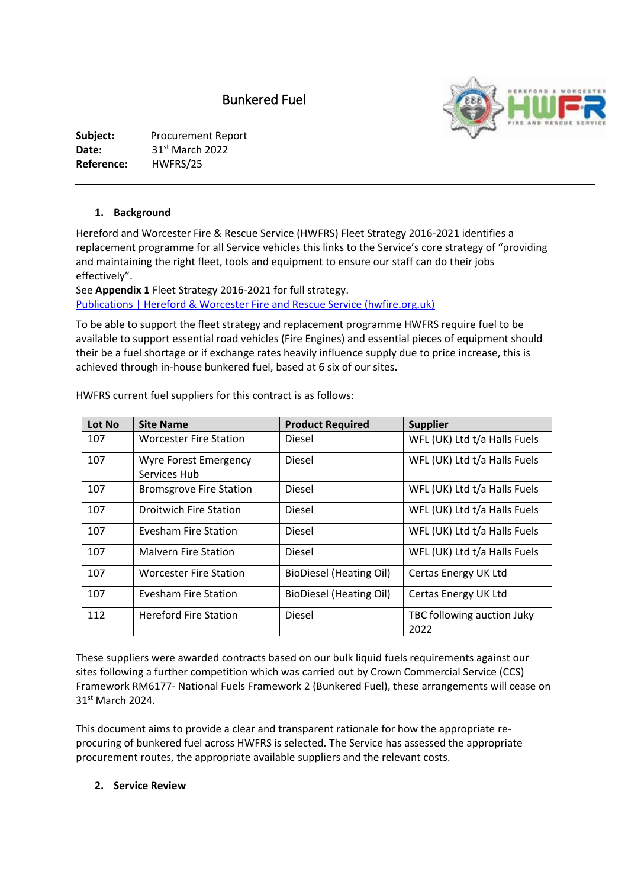# Bunkered Fuel



#### **1. Background**

Hereford and Worcester Fire & Rescue Service (HWFRS) Fleet Strategy 2016-2021 identifies a replacement programme for all Service vehicles this links to the Service's core strategy of "providing and maintaining the right fleet, tools and equipment to ensure our staff can do their jobs effectively".

See **Appendix 1** Fleet Strategy 2016-2021 for full strategy. [Publications | Hereford & Worcester Fire and Rescue Service \(hwfire.org.uk\)](https://www.hwfire.org.uk/your-right-to-know/our-publications/) 

To be able to support the fleet strategy and replacement programme HWFRS require fuel to be available to support essential road vehicles (Fire Engines) and essential pieces of equipment should their be a fuel shortage or if exchange rates heavily influence supply due to price increase, this is achieved through in-house bunkered fuel, based at 6 six of our sites.

| Lot No | <b>Site Name</b>                             | <b>Product Required</b>        | <b>Supplier</b>                    |
|--------|----------------------------------------------|--------------------------------|------------------------------------|
| 107    | <b>Worcester Fire Station</b>                | Diesel                         | WFL (UK) Ltd t/a Halls Fuels       |
| 107    | <b>Wyre Forest Emergency</b><br>Services Hub | Diesel                         | WFL (UK) Ltd t/a Halls Fuels       |
| 107    | <b>Bromsgrove Fire Station</b>               | Diesel                         | WFL (UK) Ltd t/a Halls Fuels       |
| 107    | <b>Droitwich Fire Station</b>                | Diesel                         | WFL (UK) Ltd t/a Halls Fuels       |
| 107    | Evesham Fire Station                         | Diesel                         | WFL (UK) Ltd t/a Halls Fuels       |
| 107    | <b>Malvern Fire Station</b>                  | Diesel                         | WFL (UK) Ltd t/a Halls Fuels       |
| 107    | <b>Worcester Fire Station</b>                | <b>BioDiesel (Heating Oil)</b> | Certas Energy UK Ltd               |
| 107    | Evesham Fire Station                         | BioDiesel (Heating Oil)        | Certas Energy UK Ltd               |
| 112    | <b>Hereford Fire Station</b>                 | Diesel                         | TBC following auction Juky<br>2022 |

HWFRS current fuel suppliers for this contract is as follows:

These suppliers were awarded contracts based on our bulk liquid fuels requirements against our sites following a further competition which was carried out by Crown Commercial Service (CCS) Framework RM6177- National Fuels Framework 2 (Bunkered Fuel), these arrangements will cease on 31st March 2024.

This document aims to provide a clear and transparent rationale for how the appropriate reprocuring of bunkered fuel across HWFRS is selected. The Service has assessed the appropriate procurement routes, the appropriate available suppliers and the relevant costs.

#### **2. Service Review**

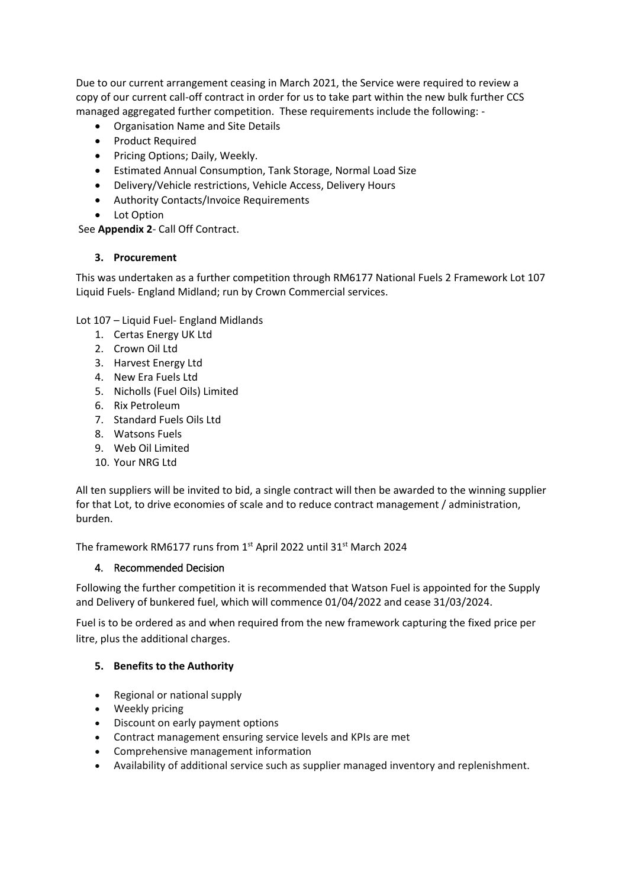Due to our current arrangement ceasing in March 2021, the Service were required to review a copy of our current call-off contract in order for us to take part within the new bulk further CCS managed aggregated further competition. These requirements include the following: -

- Organisation Name and Site Details
- Product Required
- Pricing Options; Daily, Weekly.
- Estimated Annual Consumption, Tank Storage, Normal Load Size
- Delivery/Vehicle restrictions, Vehicle Access, Delivery Hours
- Authority Contacts/Invoice Requirements
- Lot Option

See **Appendix 2**- Call Off Contract.

### **3. Procurement**

This was undertaken as a further competition through RM6177 National Fuels 2 Framework Lot 107 Liquid Fuels- England Midland; run by Crown Commercial services.

Lot 107 – Liquid Fuel- England Midlands

- 1. Certas Energy UK Ltd
- 2. Crown Oil Ltd
- 3. Harvest Energy Ltd
- 4. New Era Fuels Ltd
- 5. Nicholls (Fuel Oils) Limited
- 6. Rix Petroleum
- 7. Standard Fuels Oils Ltd
- 8. Watsons Fuels
- 9. Web Oil Limited
- 10. Your NRG Ltd

All ten suppliers will be invited to bid, a single contract will then be awarded to the winning supplier for that Lot, to drive economies of scale and to reduce contract management / administration, burden.

The framework RM6177 runs from 1st April 2022 until 31st March 2024

### 4. Recommended Decision

Following the further competition it is recommended that Watson Fuel is appointed for the Supply and Delivery of bunkered fuel, which will commence 01/04/2022 and cease 31/03/2024.

Fuel is to be ordered as and when required from the new framework capturing the fixed price per litre, plus the additional charges.

### **5. Benefits to the Authority**

- Regional or national supply
- Weekly pricing
- Discount on early payment options
- Contract management ensuring service levels and KPIs are met
- Comprehensive management information
- Availability of additional service such as supplier managed inventory and replenishment.